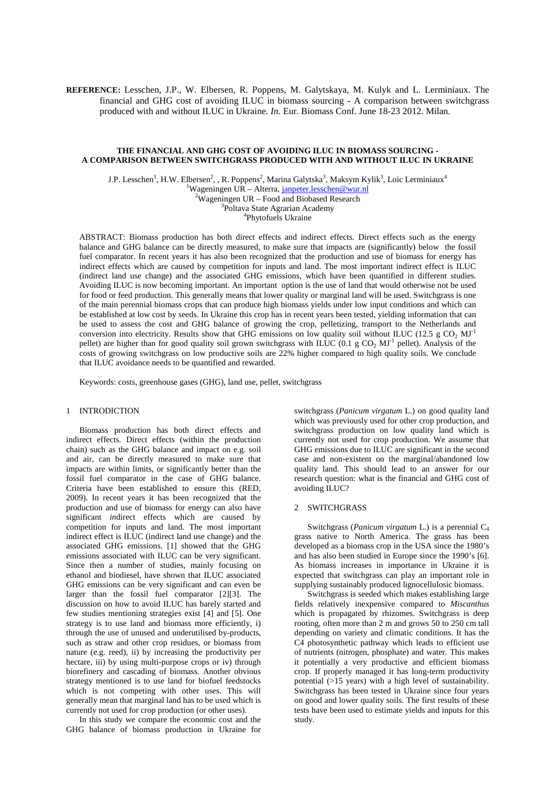# **REFERENCE:** Lesschen, J.P., W. Elbersen, R. Poppens, M. Galytskaya, M. Kulyk and L. Lerminiaux. The financial and GHG cost of avoiding ILUC in biomass sourcing - A comparison between switchgrass produced with and without ILUC in Ukraine. *In.* Eur. Biomass Conf. June 18-23 2012. Milan.

## **THE FINANCIAL AND GHG COST OF AVOIDING ILUC IN BIOMASS SOURCING - A COMPARISON BETWEEN SWITCHGRASS PRODUCED WITH AND WITHOUT ILUC IN UKRAINE**

J.P. Lesschen<sup>1</sup>, H.W. Elbersen<sup>2</sup>, , R. Poppens<sup>2</sup>, Marina Galytska<sup>3</sup>, Maksym Kylik<sup>3</sup>, Loic Lerminiaux<sup>4</sup>  $1$ Wageningen UR – Alterra, janpeter.lesschen@wur.nl  $2\overline{W}$ ageningen UR – Food and Biobased Research 3 Poltava State Agrarian Academy 4 Phytofuels Ukraine

ABSTRACT: Biomass production has both direct effects and indirect effects. Direct effects such as the energy balance and GHG balance can be directly measured, to make sure that impacts are (significantly) below the fossil fuel comparator. In recent years it has also been recognized that the production and use of biomass for energy has indirect effects which are caused by competition for inputs and land. The most important indirect effect is ILUC (indirect land use change) and the associated GHG emissions, which have been quantified in different studies. Avoiding ILUC is now becoming important. An important option is the use of land that would otherwise not be used for food or feed production. This generally means that lower quality or marginal land will be used. Switchgrass is one of the main perennial biomass crops that can produce high biomass yields under low input conditions and which can be established at low cost by seeds. In Ukraine this crop has in recent years been tested, yielding information that can be used to assess the cost and GHG balance of growing the crop, pelletizing, transport to the Netherlands and conversion into electricity. Results show that GHG emissions on low quality soil without ILUC (12.5 g CO<sub>2</sub> MJ<sup>-1</sup> pellet) are higher than for good quality soil grown switchgrass with ILUC (0.1 g  $CO_2$  MJ<sup>-1</sup> pellet). Analysis of the costs of growing switchgrass on low productive soils are 22% higher compared to high quality soils. We conclude that ILUC avoidance needs to be quantified and rewarded.

Keywords: costs, greenhouse gases (GHG), land use, pellet, switchgrass

### 1 INTRODICTION

Biomass production has both direct effects and indirect effects. Direct effects (within the production chain) such as the GHG balance and impact on e.g. soil and air, can be directly measured to make sure that impacts are within limits, or significantly better than the fossil fuel comparator in the case of GHG balance. Criteria have been established to ensure this (RED, 2009). In recent years it has been recognized that the production and use of biomass for energy can also have significant *in*direct effects which are caused by competition for inputs and land. The most important indirect effect is ILUC (indirect land use change) and the associated GHG emissions. [1] showed that the GHG emissions associated with ILUC can be very significant. Since then a number of studies, mainly focusing on ethanol and biodiesel, have shown that ILUC associated GHG emissions can be very significant and can even be larger than the fossil fuel comparator [2][3]. The discussion on how to avoid ILUC has barely started and few studies mentioning strategies exist [4] and [5]. One strategy is to use land and biomass more efficiently, i) through the use of unused and underutilised by-products, such as straw and other crop residues, or biomass from nature (e.g. reed), ii) by increasing the productivity per hectare, iii) by using multi-purpose crops or iv) through biorefinery and cascading of biomass. Another obvious strategy mentioned is to use land for biofuel feedstocks which is not competing with other uses. This will generally mean that marginal land has to be used which is currently not used for crop production (or other uses).

In this study we compare the economic cost and the GHG balance of biomass production in Ukraine for switchgrass (*Panicum virgatum* L.) on good quality land which was previously used for other crop production, and switchgrass production on low quality land which is currently not used for crop production. We assume that GHG emissions due to ILUC are significant in the second case and non-existent on the marginal/abandoned low quality land. This should lead to an answer for our research question: what is the financial and GHG cost of avoiding ILUC?

### 2 SWITCHGRASS

Switchgrass (*Panicum virgatum* L.) is a perennial C<sup>4</sup> grass native to North America. The grass has been developed as a biomass crop in the USA since the 1980's and has also been studied in Europe since the 1990's [6]. As biomass increases in importance in Ukraine it is expected that switchgrass can play an important role in supplying sustainably produced lignocellulosic biomass.

Switchgrass is seeded which makes establishing large fields relatively inexpensive compared to *Miscanthus* which is propagated by rhizomes. Switchgrass is deep rooting, often more than 2 m and grows 50 to 250 cm tall depending on variety and climatic conditions. It has the C4 photosynthetic pathway which leads to efficient use of nutrients (nitrogen, phosphate) and water. This makes it potentially a very productive and efficient biomass crop. If properly managed it has long-term productivity potential (>15 years) with a high level of sustainability. Switchgrass has been tested in Ukraine since four years on good and lower quality soils. The first results of these tests have been used to estimate yields and inputs for this study.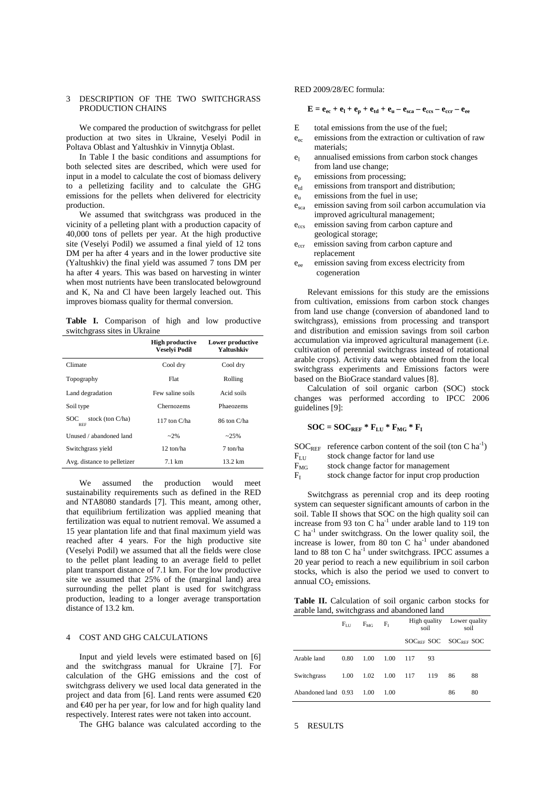## 3 DESCRIPTION OF THE TWO SWITCHGRASS PRODUCTION CHAINS

We compared the production of switchgrass for pellet production at two sites in Ukraine, Veselyi Podil in Poltava Oblast and Yaltushkiv in Vinnytja Oblast.

In Table I the basic conditions and assumptions for both selected sites are described, which were used for input in a model to calculate the cost of biomass delivery to a pelletizing facility and to calculate the GHG emissions for the pellets when delivered for electricity production.

We assumed that switchgrass was produced in the vicinity of a pelleting plant with a production capacity of 40,000 tons of pellets per year. At the high productive site (Veselyi Podil) we assumed a final yield of 12 tons DM per ha after 4 years and in the lower productive site (Yaltushkiv) the final yield was assumed 7 tons DM per ha after 4 years. This was based on harvesting in winter when most nutrients have been translocated belowground and K, Na and Cl have been largely leached out. This improves biomass quality for thermal conversion.

**Table I.** Comparison of high and low productive switchgrass sites in Ukraine

|                                          | <b>High productive</b><br><b>Veselyi Podil</b> | Lower productive<br>Yaltushkiv |  |  |
|------------------------------------------|------------------------------------------------|--------------------------------|--|--|
| Climate                                  | Cool dry                                       | Cool dry                       |  |  |
| Topography                               | Flat                                           | Rolling                        |  |  |
| Land degradation                         | Few saline soils                               | Acid soils                     |  |  |
| Soil type                                | Chernozems                                     | Phaeozems                      |  |  |
| stock (ton $C/ha$ )<br>SOC<br><b>REF</b> | 117 ton C/ha                                   | 86 ton C/ha                    |  |  |
| Unused / abandoned land                  | $-2\%$                                         | $-25%$                         |  |  |
| Switchgrass yield                        | 12 ton/ha                                      | 7 ton/ha                       |  |  |
| Avg. distance to pelletizer              | $7.1 \text{ km}$                               | 13.2 km                        |  |  |

We assumed the production would meet sustainability requirements such as defined in the RED and NTA8080 standards [7]. This meant, among other, that equilibrium fertilization was applied meaning that fertilization was equal to nutrient removal. We assumed a 15 year plantation life and that final maximum yield was reached after 4 years. For the high productive site (Veselyi Podil) we assumed that all the fields were close to the pellet plant leading to an average field to pellet plant transport distance of 7.1 km. For the low productive site we assumed that 25% of the (marginal land) area surrounding the pellet plant is used for switchgrass production, leading to a longer average transportation distance of 13.2 km.

## 4 COST AND GHG CALCULATIONS

Input and yield levels were estimated based on [6] and the switchgrass manual for Ukraine [7]. For calculation of the GHG emissions and the cost of switchgrass delivery we used local data generated in the project and data from [6]. Land rents were assumed  $\epsilon$ 20 and  $\epsilon$ 40 per ha per year, for low and for high quality land respectively. Interest rates were not taken into account.

The GHG balance was calculated according to the

## RED 2009/28/EC formula:

 $\mathbf{E} = \mathbf{e}_{ec} + \mathbf{e}_{l} + \mathbf{e}_{p} + \mathbf{e}_{td} + \mathbf{e}_{u} - \mathbf{e}_{sca} - \mathbf{e}_{ccs} - \mathbf{e}_{ccr} - \mathbf{e}_{ee}$ 

- E total emissions from the use of the fuel;
- $e_{ec}$  emissions from the extraction or cultivation of raw materials;
- $e_1$  annualised emissions from carbon stock changes from land use change;
- ep emissions from processing;
- $\mathbf{e}_{\rm td}$  emissions from transport and distribution;
- $e<sub>u</sub>$ emissions from the fuel in use;
- e<sub>sca</sub> emission saving from soil carbon accumulation via improved agricultural management;
- e<sub>ccs</sub> emission saving from carbon capture and geological storage;
- e<sub>ccr</sub> emission saving from carbon capture and replacement
- $e_{\infty}$  emission saving from excess electricity from cogeneration

 Relevant emissions for this study are the emissions from cultivation, emissions from carbon stock changes from land use change (conversion of abandoned land to switchgrass), emissions from processing and transport and distribution and emission savings from soil carbon accumulation via improved agricultural management (i.e. cultivation of perennial switchgrass instead of rotational arable crops). Activity data were obtained from the local switchgrass experiments and Emissions factors were based on the BioGrace standard values [8].

 Calculation of soil organic carbon (SOC) stock changes was performed according to IPCC 2006 guidelines [9]:

$$
SOC = SOC_{REF} * F_{LU} * F_{MG} * F_I
$$

 $SOC<sub>REF</sub>$  reference carbon content of the soil (ton C ha<sup>-1</sup>)

 $F_{LU}$  stock change factor for land use<br> $F_{MG}$  stock change factor for manager

stock change factor for management

 $F<sub>I</sub>$ stock change factor for input crop production

 Switchgrass as perennial crop and its deep rooting system can sequester significant amounts of carbon in the soil. Table II shows that SOC on the high quality soil can increase from 93 ton C  $ha^{-1}$  under arable land to 119 ton  $C$  ha<sup>-1</sup> under switchgrass. On the lower quality soil, the increase is lower, from 80 ton C ha<sup>-1</sup> under abandoned land to 88 ton C ha $^{-1}$  under switchgrass. IPCC assumes a 20 year period to reach a new equilibrium in soil carbon stocks, which is also the period we used to convert to annual  $CO<sub>2</sub>$  emissions.

Table II. Calculation of soil organic carbon stocks for arable land, switchgrass and abandoned land

|                     | $F_{\rm LU}$ | $F_{MG}$ | F <sub>I</sub> | High quality<br>soil  |     | Lower quality<br>soil |    |
|---------------------|--------------|----------|----------------|-----------------------|-----|-----------------------|----|
|                     |              |          |                | SOCREE SOC SOCREE SOC |     |                       |    |
| Arable land         | 0.80         | 1.00     | 1.00           | 117                   | 93  |                       |    |
| Switchgrass         | 1.00         | 1.02     | 1.00           | 117                   | 119 | 86                    | 88 |
| Abandoned land 0.93 |              | 1.00     | 1.00           |                       |     | 86                    | 80 |

5 RESULTS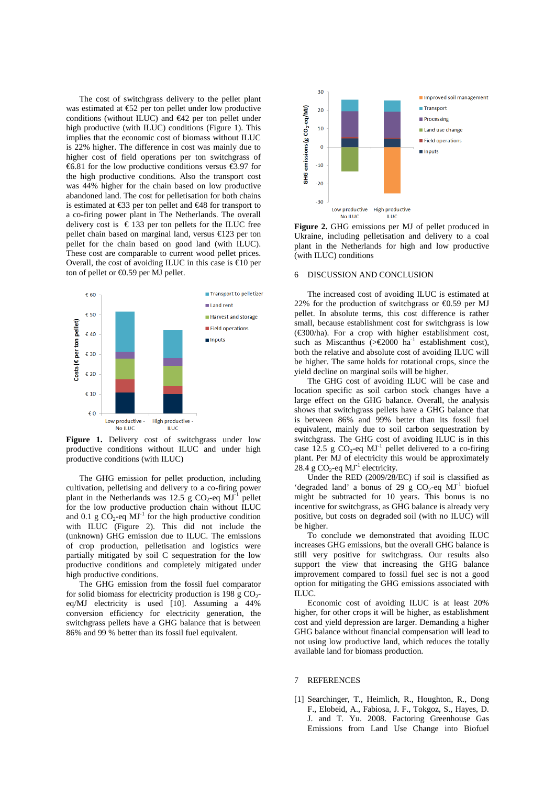The cost of switchgrass delivery to the pellet plant was estimated at €52 per ton pellet under low productive conditions (without ILUC) and  $\epsilon$ 42 per ton pellet under high productive (with ILUC) conditions (Figure 1). This implies that the economic cost of biomass without ILUC is 22% higher. The difference in cost was mainly due to higher cost of field operations per ton switchgrass of €6.81 for the low productive conditions versus €3.9 for the high productive conditions. Also the transport cost was 44% higher for the chain based on low productive abandoned land. The cost for pelletisation for both chains is estimated at €33 per ton pellet and €48 for transport to a co-firing power plant in The Netherlands. The overall delivery cost is  $\epsilon$  133 per ton pellets for the ILUC free pellet chain based on marginal land, versus €123 per ton pellet for the chain based on good land (with ILUC). These cost are comparable to current wood pellet prices. Overall, the cost of avoiding ILUC in this case is  $\infty$  per ton of pellet or  $\text{\textsterling}0.59$  per MJ pellet.



Figure 1. Delivery cost of switchgrass under low productive conditions without ILUC and under high productive conditions (with ILUC)

The GHG emission for pellet production, including cultivation, pelletising and delivery to a co-firing power plant in the Netherlands was 12.5 g  $CO_2$ -eq MJ<sup>-1</sup> pellet for the low productive production chain without ILUC and 0.1 g  $CO_2$ -eq MJ<sup>-1</sup> for the high productive condition with ILUC (Figure 2). This did not include the (unknown) GHG emission due to ILUC. The emissions of crop production, pelletisation and logistics were partially mitigated by soil C sequestration for the low productive conditions and completely mitigated under high productive conditions.

The GHG emission from the fossil fuel comparator for solid biomass for electricity production is  $198 \text{ g } CO_2$ eq/MJ electricity is used [10]. Assuming a 44% conversion efficiency for electricity generation, the switchgrass pellets have a GHG balance that is between 86% and 99 % better than its fossil fuel equivalent.



**Figure 2.** GHG emissions per MJ of pellet produced in Ukraine, including pelletisation and delivery to a coal plant in the Netherlands for high and low productive (with ILUC) conditions

### 6 DISCUSSION AND CONCLUSION

The increased cost of avoiding ILUC is estimated at 22% for the production of switchgrass or  $\epsilon$ 0.59 per MJ pellet. In absolute terms, this cost difference is rather small, because establishment cost for switchgrass is low  $(\text{\textless}=300/ha)$ . For a crop with higher establishment cost, such as Miscanthus (>€2000 ha<sup>1</sup> establishment cost), both the relative and absolute cost of avoiding ILUC will be higher. The same holds for rotational crops, since the yield decline on marginal soils will be higher.

The GHG cost of avoiding ILUC will be case and location specific as soil carbon stock changes have a large effect on the GHG balance. Overall, the analysis shows that switchgrass pellets have a GHG balance that is between 86% and 99% better than its fossil fuel equivalent, mainly due to soil carbon sequestration by switchgrass. The GHG cost of avoiding ILUC is in this case 12.5 g  $CO_2$ -eq MJ<sup>-1</sup> pellet delivered to a co-firing plant. Per MJ of electricity this would be approximately  $28.4 \text{ g } CO_2$ -eq MJ<sup>-1</sup> electricity.

Under the RED (2009/28/EC) if soil is classified as 'degraded land' a bonus of 29 g  $CO_2$ -eq  $MJ$ <sup>-1</sup> biofuel might be subtracted for 10 years. This bonus is no incentive for switchgrass, as GHG balance is already very positive, but costs on degraded soil (with no ILUC) will be higher.

 To conclude we demonstrated that avoiding ILUC increases GHG emissions, but the overall GHG balance is still very positive for switchgrass. Our results also support the view that increasing the GHG balance improvement compared to fossil fuel sec is not a good option for mitigating the GHG emissions associated with ILUC.

 Economic cost of avoiding ILUC is at least 20% higher, for other crops it will be higher, as establishment cost and yield depression are larger. Demanding a higher GHG balance without financial compensation will lead to not using low productive land, which reduces the totally available land for biomass production.

#### 7 REFERENCES

[1] Searchinger, T., Heimlich, R., Houghton, R., Dong F., Elobeid, A., Fabiosa, J. F., Tokgoz, S., Hayes, D. J. and T. Yu. 2008. Factoring Greenhouse Gas Emissions from Land Use Change into Biofuel